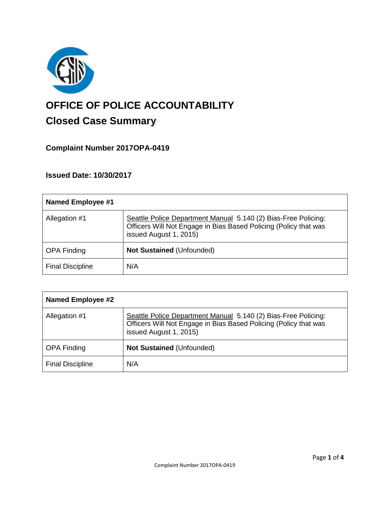

# **OFFICE OF POLICE ACCOUNTABILITY**

## **Closed Case Summary**

### **Complaint Number 2017OPA-0419**

#### **Issued Date: 10/30/2017**

| <b>Named Employee #1</b> |                                                                                                                                                              |
|--------------------------|--------------------------------------------------------------------------------------------------------------------------------------------------------------|
| Allegation #1            | Seattle Police Department Manual 5.140 (2) Bias-Free Policing:<br>Officers Will Not Engage in Bias Based Policing (Policy that was<br>issued August 1, 2015) |
| <b>OPA Finding</b>       | <b>Not Sustained (Unfounded)</b>                                                                                                                             |
| <b>Final Discipline</b>  | N/A                                                                                                                                                          |

| <b>Named Employee #2</b> |                                                                                                                                                              |
|--------------------------|--------------------------------------------------------------------------------------------------------------------------------------------------------------|
| Allegation #1            | Seattle Police Department Manual 5.140 (2) Bias-Free Policing:<br>Officers Will Not Engage in Bias Based Policing (Policy that was<br>issued August 1, 2015) |
| <b>OPA Finding</b>       | <b>Not Sustained (Unfounded)</b>                                                                                                                             |
| <b>Final Discipline</b>  | N/A                                                                                                                                                          |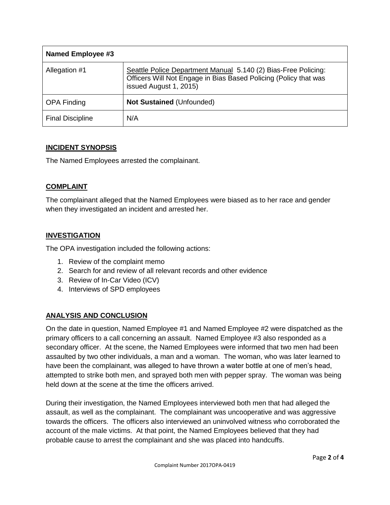| <b>Named Employee #3</b> |                                                                                                                                                              |
|--------------------------|--------------------------------------------------------------------------------------------------------------------------------------------------------------|
| Allegation #1            | Seattle Police Department Manual 5.140 (2) Bias-Free Policing:<br>Officers Will Not Engage in Bias Based Policing (Policy that was<br>issued August 1, 2015) |
| <b>OPA Finding</b>       | <b>Not Sustained (Unfounded)</b>                                                                                                                             |
| <b>Final Discipline</b>  | N/A                                                                                                                                                          |

#### **INCIDENT SYNOPSIS**

The Named Employees arrested the complainant.

#### **COMPLAINT**

The complainant alleged that the Named Employees were biased as to her race and gender when they investigated an incident and arrested her.

#### **INVESTIGATION**

The OPA investigation included the following actions:

- 1. Review of the complaint memo
- 2. Search for and review of all relevant records and other evidence
- 3. Review of In-Car Video (ICV)
- 4. Interviews of SPD employees

#### **ANALYSIS AND CONCLUSION**

On the date in question, Named Employee #1 and Named Employee #2 were dispatched as the primary officers to a call concerning an assault. Named Employee #3 also responded as a secondary officer. At the scene, the Named Employees were informed that two men had been assaulted by two other individuals, a man and a woman. The woman, who was later learned to have been the complainant, was alleged to have thrown a water bottle at one of men's head, attempted to strike both men, and sprayed both men with pepper spray. The woman was being held down at the scene at the time the officers arrived.

During their investigation, the Named Employees interviewed both men that had alleged the assault, as well as the complainant. The complainant was uncooperative and was aggressive towards the officers. The officers also interviewed an uninvolved witness who corroborated the account of the male victims. At that point, the Named Employees believed that they had probable cause to arrest the complainant and she was placed into handcuffs.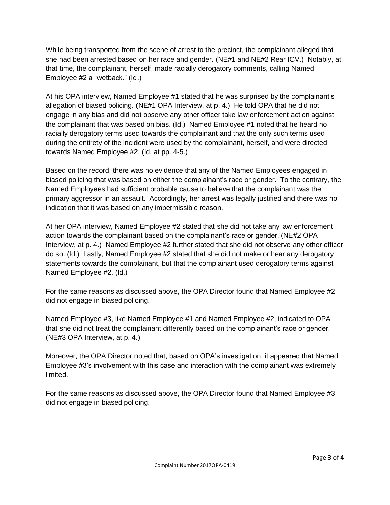While being transported from the scene of arrest to the precinct, the complainant alleged that she had been arrested based on her race and gender. (NE#1 and NE#2 Rear ICV.) Notably, at that time, the complainant, herself, made racially derogatory comments, calling Named Employee #2 a "wetback." (Id.)

At his OPA interview, Named Employee #1 stated that he was surprised by the complainant's allegation of biased policing. (NE#1 OPA Interview, at p. 4.) He told OPA that he did not engage in any bias and did not observe any other officer take law enforcement action against the complainant that was based on bias. (Id.) Named Employee #1 noted that he heard no racially derogatory terms used towards the complainant and that the only such terms used during the entirety of the incident were used by the complainant, herself, and were directed towards Named Employee #2. (Id. at pp. 4-5.)

Based on the record, there was no evidence that any of the Named Employees engaged in biased policing that was based on either the complainant's race or gender. To the contrary, the Named Employees had sufficient probable cause to believe that the complainant was the primary aggressor in an assault. Accordingly, her arrest was legally justified and there was no indication that it was based on any impermissible reason.

At her OPA interview, Named Employee #2 stated that she did not take any law enforcement action towards the complainant based on the complainant's race or gender. (NE#2 OPA Interview, at p. 4.) Named Employee #2 further stated that she did not observe any other officer do so. (Id.) Lastly, Named Employee #2 stated that she did not make or hear any derogatory statements towards the complainant, but that the complainant used derogatory terms against Named Employee #2. (Id.)

For the same reasons as discussed above, the OPA Director found that Named Employee #2 did not engage in biased policing.

Named Employee #3, like Named Employee #1 and Named Employee #2, indicated to OPA that she did not treat the complainant differently based on the complainant's race or gender. (NE#3 OPA Interview, at p. 4.)

Moreover, the OPA Director noted that, based on OPA's investigation, it appeared that Named Employee #3's involvement with this case and interaction with the complainant was extremely limited.

For the same reasons as discussed above, the OPA Director found that Named Employee #3 did not engage in biased policing.